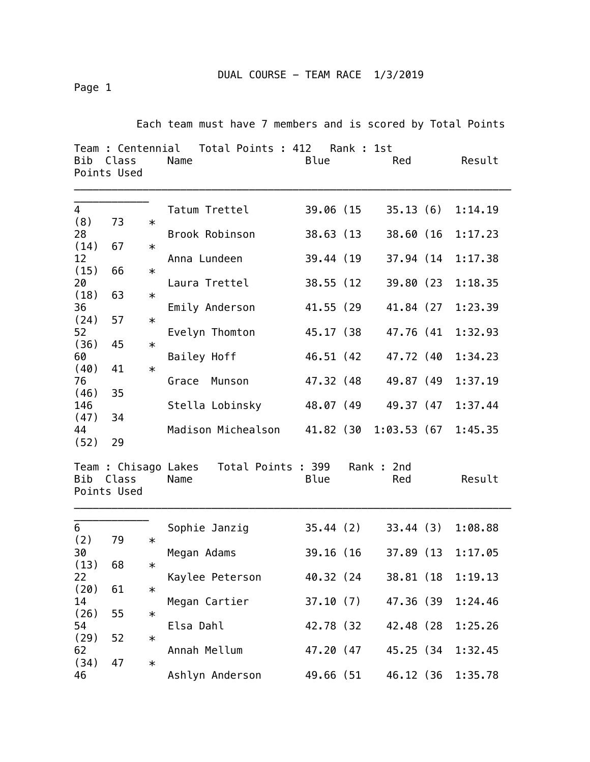DUAL COURSE - TEAM RACE 1/3/2019

Page 1

Each team must have 7 members and is scored by Total Points

| Team : Centennial<br>Total Points : 412<br>Rank : 1st<br>Bib<br>Blue<br>Result<br>Class<br>Name<br>Red<br>Points Used |                      |        |                                                  |            |  |                  |  |         |
|-----------------------------------------------------------------------------------------------------------------------|----------------------|--------|--------------------------------------------------|------------|--|------------------|--|---------|
| $\overline{4}$<br>(8)                                                                                                 | 73                   | $\ast$ | Tatum Trettel                                    | 39.06 (15  |  | 35.13(6)         |  | 1:14.19 |
| 28                                                                                                                    |                      |        | Brook Robinson                                   | 38.63 (13) |  | 38.60 (16        |  | 1:17.23 |
| (14)<br>12                                                                                                            | 67                   | $\ast$ | Anna Lundeen                                     | 39.44 (19) |  | 37.94 (14)       |  | 1:17.38 |
| (15)                                                                                                                  | 66                   | $\ast$ |                                                  |            |  |                  |  |         |
| 20<br>(18)                                                                                                            | 63                   | $\ast$ | Laura Trettel                                    | 38.55 (12) |  | 39.80 (23        |  | 1:18.35 |
| 36                                                                                                                    |                      |        | Emily Anderson                                   | 41.55 (29  |  | 41.84 (27        |  | 1:23.39 |
| (24)<br>52                                                                                                            | 57                   | $\ast$ | Evelyn Thomton                                   | 45.17 (38  |  | 47.76 (41        |  | 1:32.93 |
| (36)                                                                                                                  | 45                   | $\ast$ |                                                  |            |  |                  |  |         |
| 60<br>(40)                                                                                                            | 41                   | $\ast$ | Bailey Hoff                                      | 46.51 (42) |  | 47.72 (40        |  | 1:34.23 |
| 76                                                                                                                    |                      |        | Munson<br>Grace                                  | 47.32 (48) |  | 49.87 (49        |  | 1:37.19 |
| (46)                                                                                                                  | 35                   |        |                                                  |            |  |                  |  |         |
| 146<br>(47)                                                                                                           | 34                   |        | Stella Lobinsky                                  | 48.07 (49  |  | 49.37 (47        |  | 1:37.44 |
| 44<br>(52)                                                                                                            | 29                   |        | Madison Michealson                               | 41.82 (30  |  | 1:03.53(67)      |  | 1:45.35 |
| Bib                                                                                                                   | Class<br>Points Used |        | Team : Chisago Lakes  Total Points : 399<br>Name | Blue       |  | Rank: 2nd<br>Red |  | Result  |
| 6                                                                                                                     |                      |        | Sophie Janzig                                    | 35.44(2)   |  | 33.44 (3)        |  | 1:08.88 |
| (2)                                                                                                                   | 79                   | $\ast$ |                                                  |            |  |                  |  |         |
| 30<br>(13)                                                                                                            | 68                   | $\ast$ | Megan Adams                                      | 39.16 (16) |  | 37.89 (13        |  | 1:17.05 |
| 22                                                                                                                    |                      |        | Kaylee Peterson                                  | 40.32 (24  |  | 38.81 (18)       |  | 1:19.13 |
| (20)                                                                                                                  | 61                   | $\ast$ |                                                  |            |  |                  |  |         |
| 14<br>(26)                                                                                                            | 55                   | $\ast$ | Megan Cartier                                    | 37.10(7)   |  | 47.36 (39        |  | 1:24.46 |
| 54                                                                                                                    |                      |        | Elsa Dahl                                        | 42.78 (32  |  | 42.48 (28        |  | 1:25.26 |
| (29)<br>62                                                                                                            | 52                   | $\ast$ | Annah Mellum                                     | 47.20 (47  |  | 45.25 (34        |  | 1:32.45 |
| (34)<br>46                                                                                                            | 47                   | $\ast$ | Ashlyn Anderson                                  | 49.66 (51  |  | 46.12 (36        |  | 1:35.78 |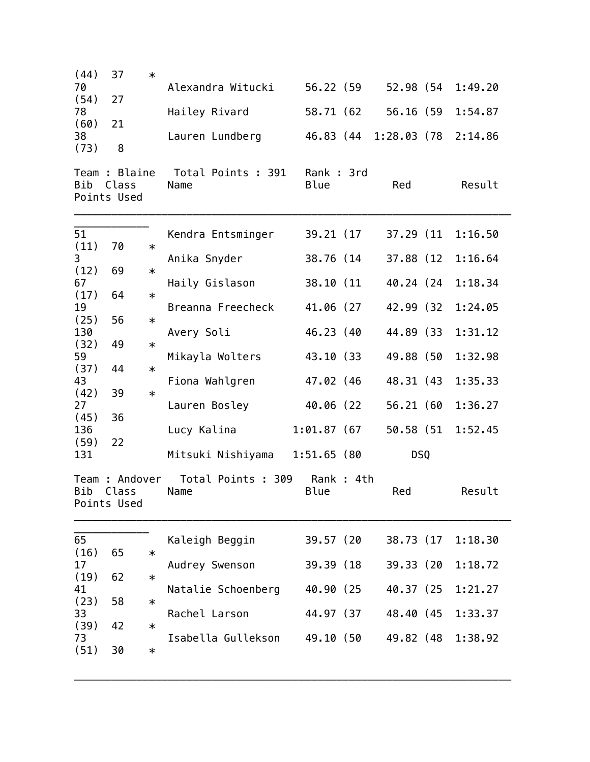| (44)        | 37                                     | $\ast$ |                            |                          |           |             |         |
|-------------|----------------------------------------|--------|----------------------------|--------------------------|-----------|-------------|---------|
| 70<br>(54)  | 27                                     |        | Alexandra Witucki          | 56.22 (59                |           | 52.98 (54   | 1:49.20 |
| 78          |                                        |        | Hailey Rivard              | 58.71 (62                |           | 56.16 (59   | 1:54.87 |
| (60)<br>38  | 21                                     |        | Lauren Lundberg            | 46.83 (44                |           | 1:28.03(78) | 2:14.86 |
| (73)        | 8                                      |        |                            |                          |           |             |         |
| Bib         | Team : Blaine<br>Class<br>Points Used  |        | Total Points : 391<br>Name | Rank: 3rd<br><b>Blue</b> |           | Red         | Result  |
| 51          |                                        |        | Kendra Entsminger          | 39.21 (17)               |           | 37.29 (11)  | 1:16.50 |
| (11)<br>3   | 70                                     | $\ast$ | Anika Snyder               | 38.76 (14                |           | 37.88 (12   | 1:16.64 |
| (12)        | 69                                     | $\ast$ |                            |                          |           |             |         |
| 67<br>(17)  | 64                                     | $\ast$ | Haily Gislason             | 38.10 (11                |           | 40.24 (24)  | 1:18.34 |
| 19          |                                        |        | Breanna Freecheck          | 41.06 (27                |           | 42.99 (32)  | 1:24.05 |
| (25)<br>130 | 56                                     | $\ast$ | Avery Soli                 | 46.23 (40                |           | 44.89 (33)  | 1:31.12 |
| (32)<br>59  | 49                                     | $\ast$ | Mikayla Wolters            | 43.10 (33                |           | 49.88 (50   | 1:32.98 |
| (37)        | 44                                     | $\ast$ |                            |                          |           |             |         |
| 43<br>(42)  | 39                                     | $\ast$ | Fiona Wahlgren             | 47.02 (46                |           | 48.31 (43   | 1:35.33 |
| 27          |                                        |        | Lauren Bosley              | 40.06 (22                |           | 56.21 (60   | 1:36.27 |
| (45)<br>136 | 36                                     |        | Lucy Kalina                | $1:01.87$ (67)           |           | 50.58 (51   | 1:52.45 |
| (59)<br>131 | 22                                     |        | Mitsuki Nishiyama          | 1:51.65(80)              |           | <b>DSQ</b>  |         |
| Bib         | Team : Andover<br>Class<br>Points Used |        | Total Points : 309<br>Name | Blue                     | Rank: 4th | Red         | Result  |
| 65          |                                        |        | Kaleigh Beggin             | 39.57 (20                |           | 38.73 (17)  | 1:18.30 |
| (16)        | 65                                     | $\ast$ |                            |                          |           |             |         |
| 17<br>(19)  | 62                                     | $\ast$ | Audrey Swenson             | 39.39 (18)               |           | 39.33 (20   | 1:18.72 |
| 41<br>(23)  | 58                                     | $\ast$ | Natalie Schoenberg         | 40.90 (25                |           | 40.37 (25   | 1:21.27 |
| 33          |                                        |        | Rachel Larson              | 44.97 (37                |           | 48.40 (45   | 1:33.37 |
| (39)<br>73  | 42                                     | $\ast$ | Isabella Gullekson         | 49.10 (50                |           | 49.82 (48   | 1:38.92 |
| (51)        | 30                                     | $\ast$ |                            |                          |           |             |         |

\_\_\_\_\_\_\_\_\_\_\_\_\_\_\_\_\_\_\_\_\_\_\_\_\_\_\_\_\_\_\_\_\_\_\_\_\_\_\_\_\_\_\_\_\_\_\_\_\_\_\_\_\_\_\_\_\_\_\_\_\_\_\_\_\_\_\_\_\_\_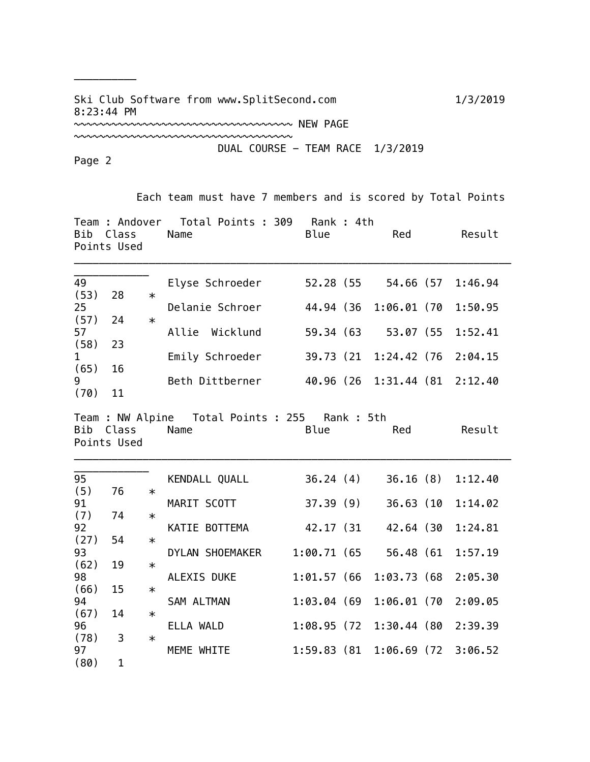## Ski Club Software from www.SplitSecond.com 1/3/2019 8:23:44 PM

~~~~~~~~~~~~~~~~~~~~~~~~~~~~~~~~~~~

~~~~~~~~~~~~~~~~~~~~~~~~~~~~~~~~~~~ NEW PAGE

DUAL COURSE - TEAM RACE 1/3/2019

Page 2

\_\_\_\_\_\_\_\_\_\_

Each team must have 7 members and is scored by Total Points

| Team : Andover  Total Points : 309  Rank : 4th<br>Bib Class<br>Name<br><b>Blue</b><br>Points Used |                          |        |                                                          |               |  | Red         | Result                |
|---------------------------------------------------------------------------------------------------|--------------------------|--------|----------------------------------------------------------|---------------|--|-------------|-----------------------|
| 49<br>(53)                                                                                        |                          |        | Elyse Schroeder                                          | 52.28 (55     |  |             | 54.66 (57 1:46.94     |
| 25                                                                                                | 28                       | $\ast$ | Delanie Schroer                                          | 44.94 (36     |  | 1:06.01 (70 | 1:50.95               |
| (57)<br>57                                                                                        | 24                       | $\ast$ | Allie Wicklund                                           | 59.34 (63     |  | 53.07 (55   | 1:52.41               |
| (58)<br>$\mathbf{1}$                                                                              | 23                       |        | Emily Schroeder                                          | 39.73 (21     |  | 1:24.42 (76 | 2:04.15               |
| (65)                                                                                              | 16                       |        |                                                          |               |  |             |                       |
| 9<br>(70)                                                                                         | 11                       |        | Beth Dittberner                                          | 40.96 (26     |  |             | 1:31.44 (81 2:12.40   |
|                                                                                                   | Bib Class<br>Points Used |        | Team : NW Alpine  Total Points : 255  Rank : 5th<br>Name | Blue          |  | Red         | Result                |
| 95<br>(5)                                                                                         | 76                       | $\ast$ | KENDALL QUALL                                            | 36.24(4)      |  | 36.16(8)    | 1:12.40               |
| 91                                                                                                |                          |        | MARIT SCOTT                                              | 37.39 (9)     |  | 36.63 (10   | 1:14.02               |
| (7)<br>92                                                                                         | 74                       | $\ast$ | KATIE BOTTEMA                                            | 42.17 (31     |  | 42.64 (30   | 1:24.81               |
| (27)                                                                                              | 54                       | $\ast$ |                                                          |               |  |             |                       |
| 93<br>(62)                                                                                        | 19                       | $\ast$ | DYLAN SHOEMAKER                                          | 1:00.71 (65   |  | 56.48 (61   | 1:57.19               |
| 98                                                                                                |                          |        | ALEXIS DUKE                                              | $1:01.57$ (66 |  | 1:03.73(68) | 2:05.30               |
| (66)<br>94                                                                                        | 15                       | $\ast$ | SAM ALTMAN                                               | 1:03.04(69)   |  | 1:06.01 (70 | 2:09.05               |
| (67)                                                                                              | 14                       | $\ast$ |                                                          |               |  |             |                       |
| 96<br>(78)                                                                                        | 3                        | $\ast$ | ELLA WALD                                                | 1:08.95(72)   |  |             | 1:30.44 (80 2:39.39   |
| 97                                                                                                |                          |        | MEME WHITE                                               | 1:59.83(81)   |  |             | $1:06.69$ (72 3:06.52 |
| (80)                                                                                              | $\mathbf{1}$             |        |                                                          |               |  |             |                       |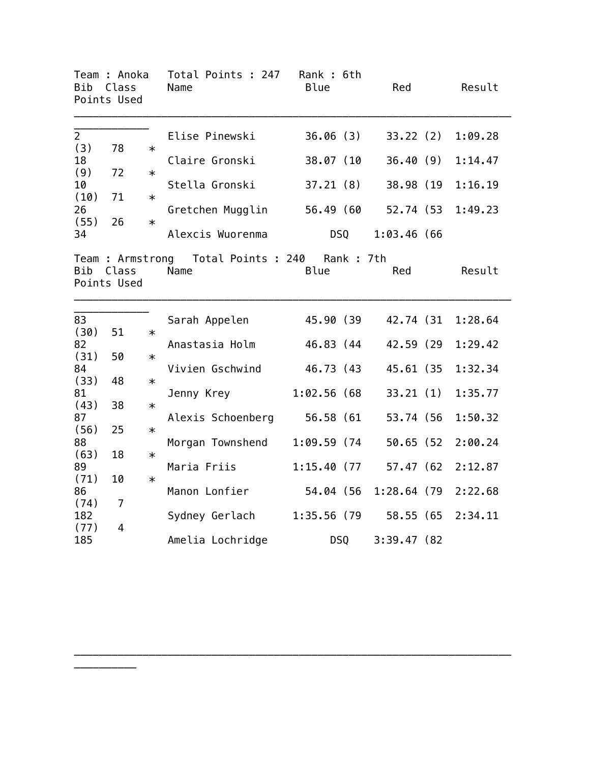| Team : Anoka<br><b>Bib</b><br>Class<br>Points Used |                      |        | Total Points : 247<br>Name                          | Rank : 6th<br><b>Blue</b> | Red           | Result  |
|----------------------------------------------------|----------------------|--------|-----------------------------------------------------|---------------------------|---------------|---------|
| $\overline{2}$<br>(3)                              | 78                   | $\ast$ | Elise Pinewski                                      | 36.06(3)                  | 33.22(2)      | 1:09.28 |
| 18<br>(9)                                          | 72                   | $\ast$ | Claire Gronski                                      | 38.07 (10                 | 36.40(9)      | 1:14.47 |
| 10<br>(10)                                         | 71                   | $\ast$ | Stella Gronski                                      | 37.21(8)                  | 38.98 (19     | 1:16.19 |
| 26                                                 |                      |        | Gretchen Mugglin                                    | 56.49 (60                 | 52.74 (53     | 1:49.23 |
| (55)<br>34                                         | 26                   | $\ast$ | Alexcis Wuorenma                                    | <b>DSQ</b>                | $1:03.46$ (66 |         |
| <b>Bib</b>                                         | Class<br>Points Used |        | Team: Armstrong Total Points: 240 Rank: 7th<br>Name | <b>Blue</b>               | Red           | Result  |
| 83                                                 |                      |        | Sarah Appelen                                       | 45.90 (39                 | 42.74 (31)    | 1:28.64 |
| (30)<br>82                                         | 51                   | $\ast$ | Anastasia Holm                                      | 46.83 (44                 | 42.59 (29     | 1:29.42 |
| (31)<br>84                                         | 50                   | $\ast$ | Vivien Gschwind                                     | 46.73 (43                 | 45.61 (35     | 1:32.34 |
| (33)<br>81                                         | 48                   | $\ast$ | Jenny Krey                                          | 1:02.56(68)               | 33.21(1)      | 1:35.77 |
| (43)                                               | 38                   | $\ast$ |                                                     |                           |               |         |
| 87<br>(56)                                         | 25                   | $\ast$ | Alexis Schoenberg 56.58 (61                         |                           | 53.74 (56     | 1:50.32 |
| 88<br>(63)                                         | 18                   | $\ast$ | Morgan Townshend                                    | 1:09.59(74)               | 50.65 (52     | 2:00.24 |
| 89<br>(71)                                         | 10                   | $\ast$ | Maria Friis                                         | 1:15.40 (77               | 57.47 (62     | 2:12.87 |
| 86<br>(74)                                         | $\overline{7}$       |        | Manon Lonfier                                       | 54.04 (56                 | 1:28.64(79)   | 2:22.68 |
| 182                                                |                      |        | Sydney Gerlach                                      | 1:35.56 (79               | 58.55 (65     | 2:34.11 |
| (77)<br>185                                        | $\overline{4}$       |        | Amelia Lochridge                                    | DSQ                       | 3:39.47(82)   |         |

\_\_\_\_\_\_\_\_\_\_\_\_\_\_\_\_\_\_\_\_\_\_\_\_\_\_\_\_\_\_\_\_\_\_\_\_\_\_\_\_\_\_\_\_\_\_\_\_\_\_\_\_\_\_\_\_\_\_\_\_\_\_\_\_\_\_\_\_\_\_

\_\_\_\_\_\_\_\_\_\_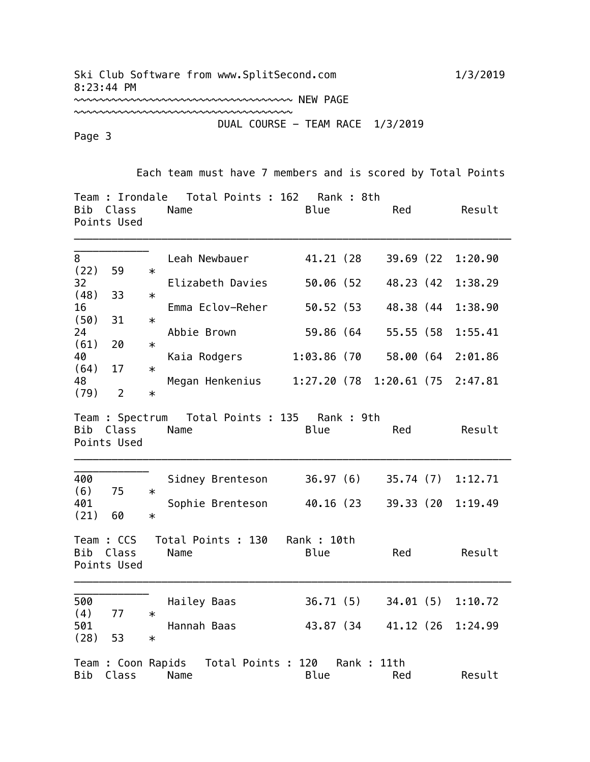~~~~~~~~~~~~~~~~~~~~~~~~~~~~~~~~~~~ NEW PAGE

~~~~~~~~~~~~~~~~~~~~~~~~~~~~~~~~~~~ DUAL COURSE - TEAM RACE 1/3/2019

Page 3

Each team must have 7 members and is scored by Total Points

| Bib         | Team : Irondale<br>Class<br>Points Used | Total Points : 162<br>Rank : 8th<br>Blue<br>Name<br>Red                     | Result                 |
|-------------|-----------------------------------------|-----------------------------------------------------------------------------|------------------------|
| 8<br>(22)   | 59                                      | Leah Newbauer<br>41.21 (28<br>$\ast$                                        | 39.69 (22<br>1:20.90   |
| 32<br>(48)  | 33                                      | 50.06 (52<br>Elizabeth Davies<br>$\ast$                                     | 48.23 (42<br>1:38.29   |
| 16          |                                         | 50.52 (53<br>Emma Eclov-Reher                                               | 1:38.90<br>48.38 (44   |
| (50)<br>24  | 31                                      | $\ast$<br>Abbie Brown<br>59.86 (64                                          | 55.55 (58<br>1:55.41   |
| (61)<br>40  | 20                                      | $\ast$<br>Kaia Rodgers<br>1:03.86 (70                                       | 58.00 (64<br>2:01.86   |
| (64)<br>48  | 17                                      | $\ast$<br>Megan Henkenius<br>1:27.20 (78                                    | $1:20.61$ (75 2:47.81) |
| (79)        | $\overline{2}$                          | $\ast$                                                                      |                        |
| Bib         | Class<br>Points Used                    | Team : Spectrum  Total Points : 135  Rank : 9th<br>Name<br>Blue<br>Red      | Result                 |
| 400<br>(6)  | 75                                      | 36.97(6)<br>Sidney Brenteson<br>$\ast$                                      | 35.74 (7)<br>1:12.71   |
| 401<br>(21) | 60                                      | 40.16 (23<br>Sophie Brenteson<br>$\ast$                                     | 39.33 (20<br>1:19.49   |
| <b>Bib</b>  | Team : CCS<br>Class<br>Points Used      | Total Points : 130<br>Rank: 10th<br>Blue<br>Name<br>Red                     | Result                 |
|             |                                         |                                                                             |                        |
| 500<br>(4)  | 77                                      | 36.71(5)<br>Hailey Baas<br>$\ast$                                           | 34.01(5)<br>1:10.72    |
| 501<br>(28) | 53                                      | Hannah Baas<br>43.87 (34<br>$\ast$                                          | 41.12 (26<br>1:24.99   |
| Bib         | Class                                   | Team : Coon Rapids Total Points : 120<br>Rank : 11th<br>Name<br>Blue<br>Red | Result                 |